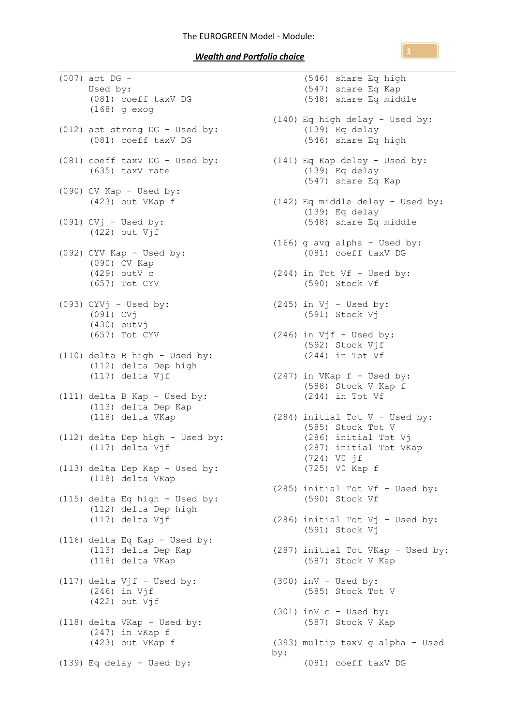## *Wealth and Portfolio choice*

(007) act DG - Used by: (081) coeff taxV DG (168) g exog (012) act strong DG - Used by: (081) coeff taxV DG (081) coeff taxV DG - Used by: (141) Eq Kap delay - Used by: (635) taxV rate  $(090)$  CV Kap - Used by: (423) out VKap f  $(091)$  CV $j$  - Used by: (422) out Vjf (092) CYV Kap - Used by: (090) CV Kap (429) outV c (657) Tot CYV (093) CYVj - Used by: (091) CVj (430) outVj (657) Tot CYV (110) delta B high - Used by: (112) delta Dep high (117) delta Vjf (111) delta B Kap - Used by: (113) delta Dep Kap (118) delta VKap (112) delta Dep high - Used by: (117) delta Vjf (113) delta Dep Kap - Used by: (118) delta VKap (115) delta Eq high - Used by: (112) delta Dep high (117) delta Vjf (116) delta Eq Kap - Used by: (113) delta Dep Kap (113) delta Dep Kap<br>(118) delta VKap (117) delta  $Vjf - Used$  by: (246) in Vjf (422) out Vjf (118) delta VKap - Used by: (247) in VKap f (423) out VKap f (139) Eq delay - Used by:

(546) share Eq high (547) share Eq Kap (548) share Eq middle (140) Eq high delay - Used by: (139) Eq delay (546) share Eq high (139) Eq delay (547) share Eq Kap (142) Eq middle delay - Used by: (139) Eq delay (548) share Eq middle (166) g avg alpha - Used by: (081) coeff taxV DG (244) in Tot Vf - Used by: (590) Stock Vf  $(245)$  in Vj - Used by: (591) Stock Vj  $(246)$  in Vjf - Used by: (592) Stock Vjf (244) in Tot Vf  $(247)$  in VKap  $f -$  Used by: (588) Stock V Kap f (244) in Tot Vf (284) initial Tot V - Used by: (585) Stock Tot V (286) initial Tot Vj (287) initial Tot VKap (724) V0 jf (725) V0 Kap f (285) initial Tot Vf - Used by: (590) Stock Vf (286) initial Tot Vj - Used by: (591) Stock Vj (287) initial Tot VKap - Used by: (587) Stock V Kap  $(300)$  inV - Used by: (585) Stock Tot V  $(301)$  inV c - Used by: (587) Stock V Kap (393) multip taxV g alpha - Used by: (081) coeff taxV DG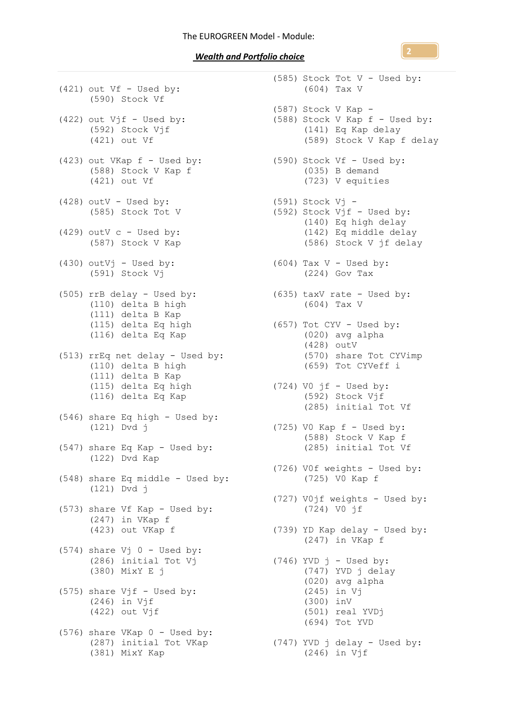*Wealth and Portfolio choice* 

(421) out Vf - Used by: (590) Stock Vf  $(422)$  out  $Vjf$  - Used by: (592) Stock Vjf (421) out Vf (423) out VKap f - Used by: (588) Stock V Kap f (421) out Vf (428) outV - Used by:  $(585)$  Stock Tot V  $(429)$  outV c - Used by: (587) Stock V Kap  $(430)$  outVj - Used by: (591) Stock Vj (505) rrB delay - Used by: (635) taxV rate - Used by: (110) delta B high (111) delta B Kap (115) delta Eq high (116) delta Eq Kap (513) rrEq net delay - Used by: (110) delta B high (111) delta B Kap (111) delta  $Eq$  high (116) delta Eq Kap (546) share Eq high - Used by: (121) Dvd j (547) share Eq Kap - Used by: (122) Dvd Kap (548) share Eq middle - Used by: (121) Dvd j (573) share Vf Kap - Used by: (247) in VKap f (423) out VKap f  $(574)$  share Vj  $0$  - Used by: (286) initial Tot Vj (380) MixY E j (575) share  $Vjf - Used by:$ (246) in Vjf (422) out Vjf (576) share VKap 0 - Used by: (381) MixY Kap

(287) initial Tot VKap (747) YVD j delay - Used by: (585) Stock Tot V - Used by: (604) Tax V (587) Stock V Kap - (588) Stock V Kap f - Used by: (141) Eq Kap delay (589) Stock V Kap f delay (590) Stock Vf - Used by: (035) B demand (723) V equities (591) Stock Vj - (592) Stock  $Vjf$  - Used by: (140) Eq high delay (142) Eq middle delay (586) Stock V jf delay  $(604)$  Tax V - Used by: (224) Gov Tax (604) Tax V (657) Tot CYV - Used by: (020) avg alpha (428) outV (570) share Tot CYVimp (659) Tot CYVeff i  $(724)$  VO jf - Used by: (592) Stock Vjf (285) initial Tot Vf  $(725)$  VO Kap  $f -$  Used by: (588) Stock V Kap f (285) initial Tot Vf (726) V0f weights - Used by: (725) V0 Kap f (727) V0jf weights - Used by: (724) V0 jf (739) YD Kap delay - Used by: (247) in VKap f  $(746)$  YVD  $j$  - Used by: (747) YVD j delay (020) avg alpha (245) in Vj (300) inV (501) real YVDj (694) Tot YVD (246) in Vjf